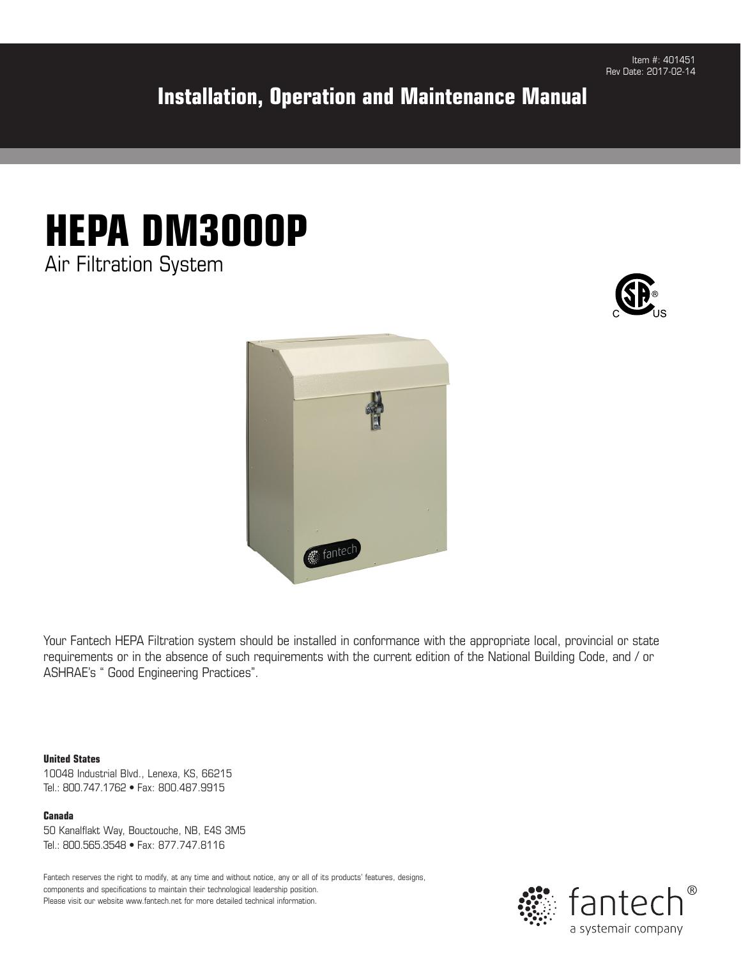### **Installation, Operation and Maintenance Manual**







Your Fantech HEPA Filtration system should be installed in conformance with the appropriate local, provincial or state requirements or in the absence of such requirements with the current edition of the National Building Code, and / or ASHRAE's " Good Engineering Practices".

#### **United States**

10048 Industrial Blvd., Lenexa, KS, 66215 Tel.: 800.747.1762 • Fax: 800.487.9915

**Canada** 50 Kanalflakt Way, Bouctouche, NB, E4S 3M5 Tel.: 800.565.3548 • Fax: 877.747.8116

Fantech reserves the right to modify, at any time and without notice, any or all of its products' features, designs, components and specifications to maintain their technological leadership position. Please visit our website www.fantech.net for more detailed technical information.

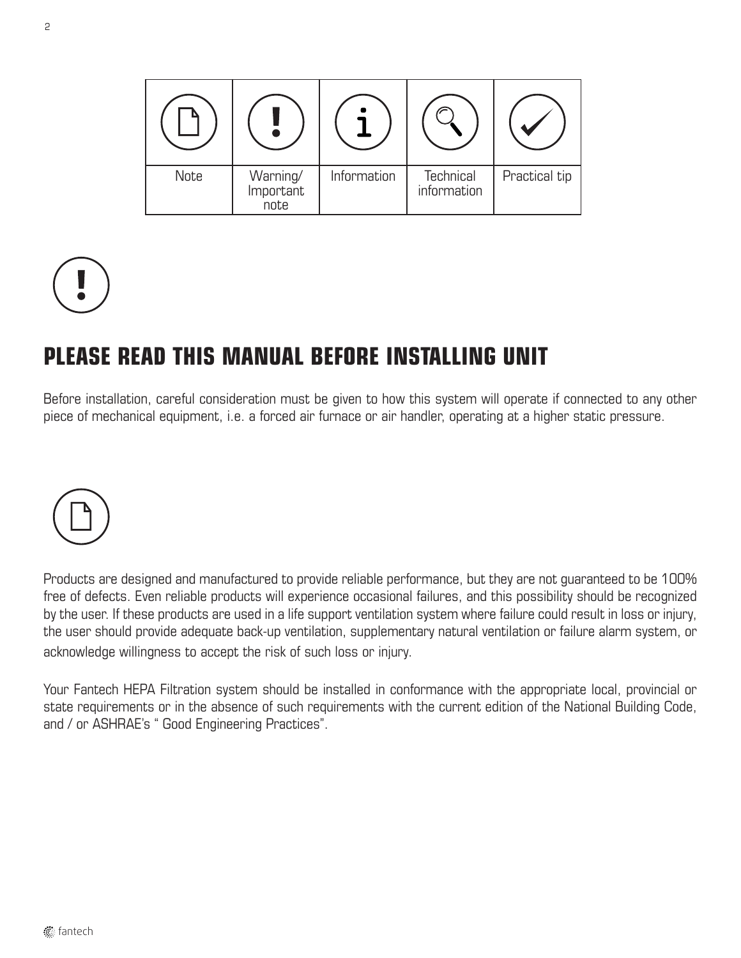

# **PLEASE READ THIS MANUAL BEFORE INSTALLING UNIT**

Before installation, careful consideration must be given to how this system will operate if connected to any other piece of mechanical equipment, i.e. a forced air furnace or air handler, operating at a higher static pressure.



Products are designed and manufactured to provide reliable performance, but they are not guaranteed to be 100% free of defects. Even reliable products will experience occasional failures, and this possibility should be recognized by the user. If these products are used in a life support ventilation system where failure could result in loss or injury, the user should provide adequate back-up ventilation, supplementary natural ventilation or failure alarm system, or acknowledge willingness to accept the risk of such loss or injury.

Your Fantech HEPA Filtration system should be installed in conformance with the appropriate local, provincial or state requirements or in the absence of such requirements with the current edition of the National Building Code, and / or ASHRAE's " Good Engineering Practices".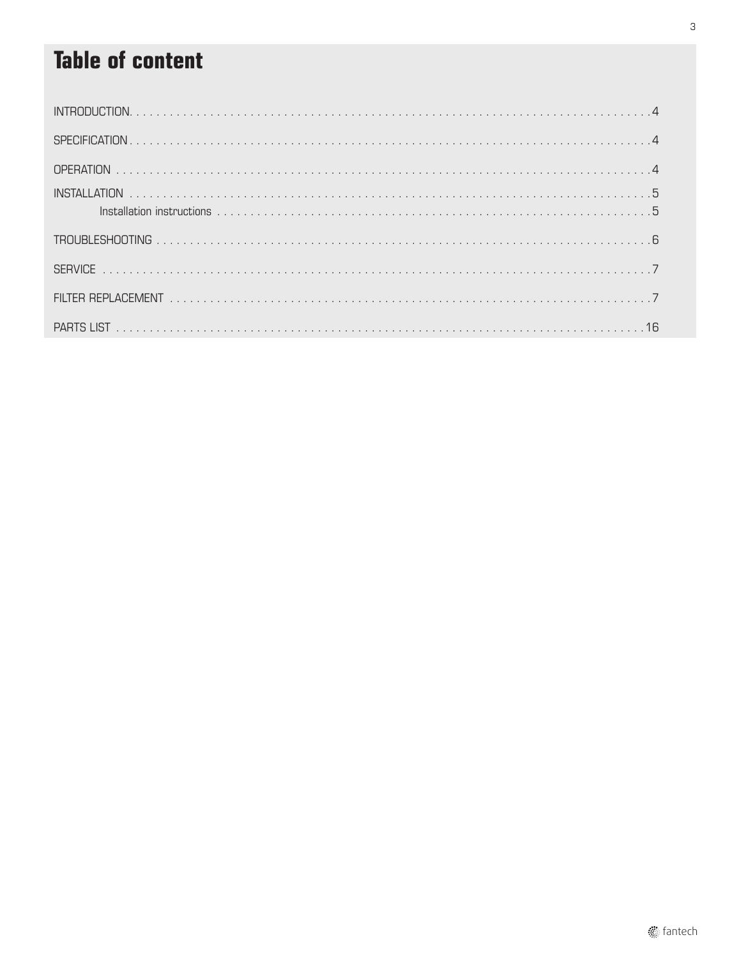# **Table of content**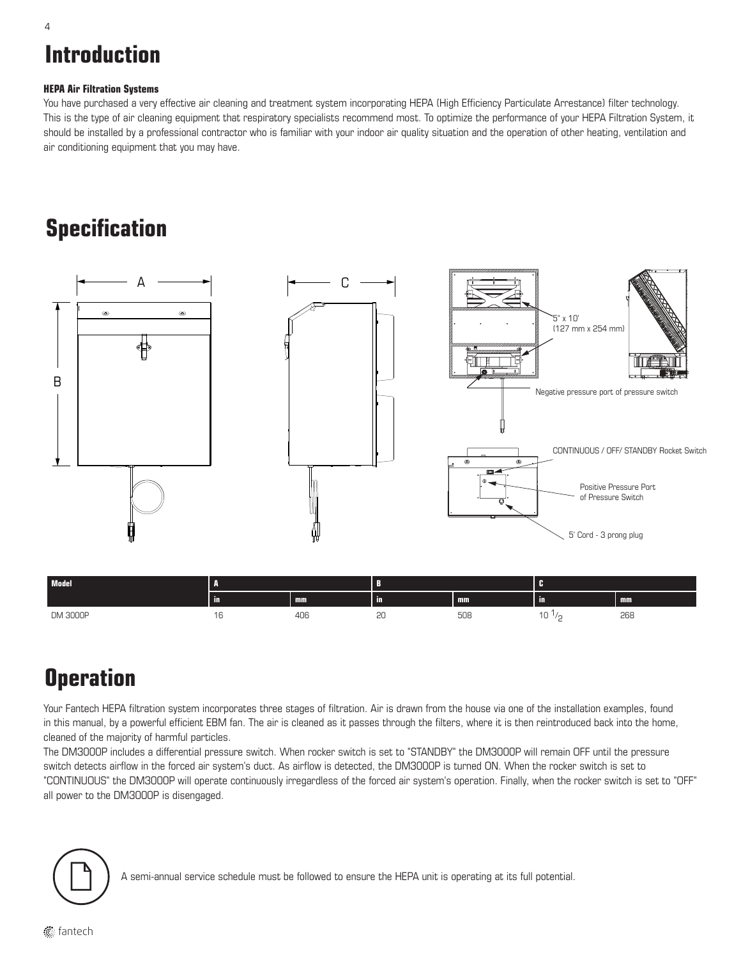# **Introduction**

#### **HEPA Air Filtration Systems**

You have purchased a very effective air cleaning and treatment system incorporating HEPA (High Efficiency Particulate Arrestance) filter technology. This is the type of air cleaning equipment that respiratory specialists recommend most. To optimize the performance of your HEPA Filtration System, it should be installed by a professional contractor who is familiar with your indoor air quality situation and the operation of other heating, ventilation and air conditioning equipment that you may have.

### **Specification**



 $10^{1/2}$  268

#### DM 3000P 16 406 20 508 10 1/

# **Operation**

Your Fantech HEPA filtration system incorporates three stages of filtration. Air is drawn from the house via one of the installation examples, found in this manual, by a powerful efficient EBM fan. The air is cleaned as it passes through the filters, where it is then reintroduced back into the home, cleaned of the majority of harmful particles.

The DM3000P includes a differential pressure switch. When rocker switch is set to "STANDBY" the DM3000P will remain OFF until the pressure switch detects airflow in the forced air system's duct. As airflow is detected, the DM3000P is turned ON. When the rocker switch is set to "CONTINUOUS" the DM3000P will operate continuously irregardless of the forced air system's operation. Finally, when the rocker switch is set to "OFF" all power to the DM3000P is disengaged.



A semi-annual service schedule must be followed to ensure the HEPA unit is operating at its full potential.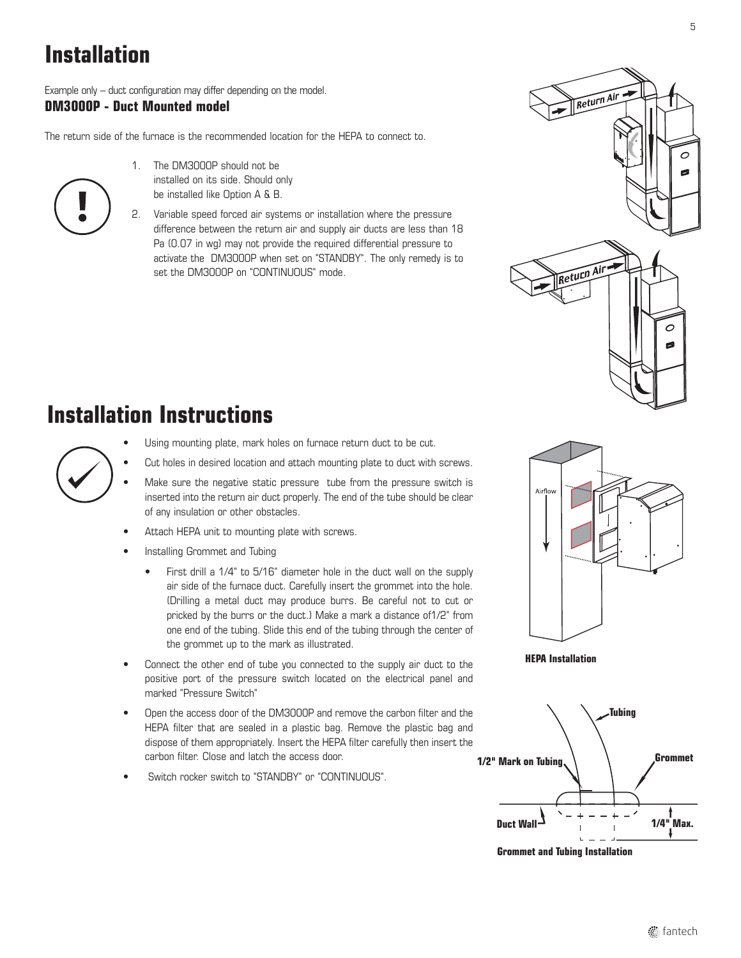# **Installation**

Example only – duct configuration may differ depending on the model. **DM3000P - Duct Mounted model**

The return side of the furnace is the recommended location for the HEPA to connect to.

- 
- 1. The DM3000P should not be installed on its side. Should only be installed like Option A & B.
- 2. Variable speed forced air systems or installation where the pressure difference between the return air and supply air ducts are less than 18 Pa (0.07 in wg) may not provide the required differential pressure to activate the DM3000P when set on "STANDBY". The only remedy is to set the DM3000P on "CONTINUOUS" mode.

# Return Air  $\overline{O}$ Return Air  $\circ$ ø

### **Installation Instructions**



- Using mounting plate, mark holes on furnace return duct to be cut.
- Cut holes in desired location and attach mounting plate to duct with screws.
- Make sure the negative static pressure tube from the pressure switch is inserted into the return air duct properly. The end of the tube should be clear of any insulation or other obstacles.
- Attach HEPA unit to mounting plate with screws.
- Installing Grommet and Tubing
	- First drill a 1/4" to 5/16" diameter hole in the duct wall on the supply air side of the furnace duct. Carefully insert the grommet into the hole. (Drilling a metal duct may produce burrs. Be careful not to cut or pricked by the burrs or the duct.) Make a mark a distance of1/2" from one end of the tubing. Slide this end of the tubing through the center of the grommet up to the mark as illustrated.
- Connect the other end of tube you connected to the supply air duct to the positive port of the pressure switch located on the electrical panel and marked "Pressure Switch"
- Open the access door of the DM3000P and remove the carbon filter and the HEPA filter that are sealed in a plastic bag. Remove the plastic bag and dispose of them appropriately. Insert the HEPA filter carefully then insert the carbon filter. Close and latch the access door.
- Switch rocker switch to "STANDBY" or "CONTINUOUS"



**HEPA Installation**



**Grommet and Tubing Installation**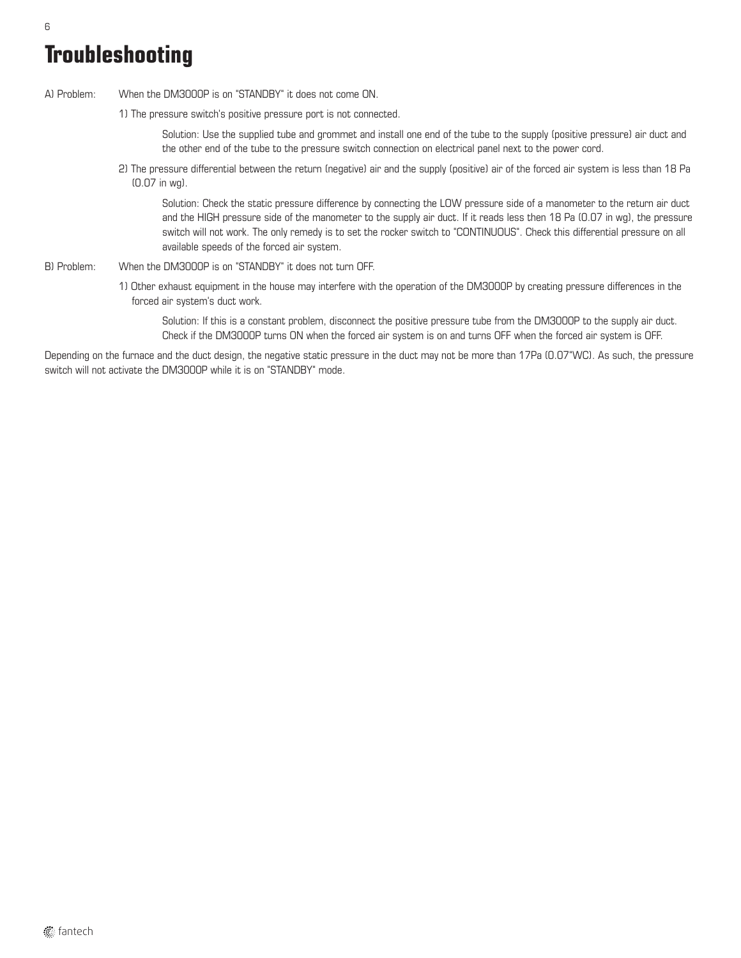# **Troubleshooting**

A) Problem: When the DM3000P is on "STANDBY" it does not come ON.

1) The pressure switch's positive pressure port is not connected.

Solution: Use the supplied tube and grommet and install one end of the tube to the supply (positive pressure) air duct and the other end of the tube to the pressure switch connection on electrical panel next to the power cord.

2) The pressure differential between the return (negative) air and the supply (positive) air of the forced air system is less than 18 Pa (0.07 in wg).

Solution: Check the static pressure difference by connecting the LOW pressure side of a manometer to the return air duct and the HIGH pressure side of the manometer to the supply air duct. If it reads less then 18 Pa (0.07 in wg), the pressure switch will not work. The only remedy is to set the rocker switch to "CONTINUOUS". Check this differential pressure on all available speeds of the forced air system.

- B) Problem: When the DM3000P is on "STANDBY" it does not turn OFF.
	- 1) Other exhaust equipment in the house may interfere with the operation of the DM3000P by creating pressure differences in the forced air system's duct work.

Solution: If this is a constant problem, disconnect the positive pressure tube from the DM3000P to the supply air duct. Check if the DM3000P turns ON when the forced air system is on and turns OFF when the forced air system is OFF.

Depending on the furnace and the duct design, the negative static pressure in the duct may not be more than 17Pa (0.07"WC). As such, the pressure switch will not activate the DM3000P while it is on "STANDBY" mode.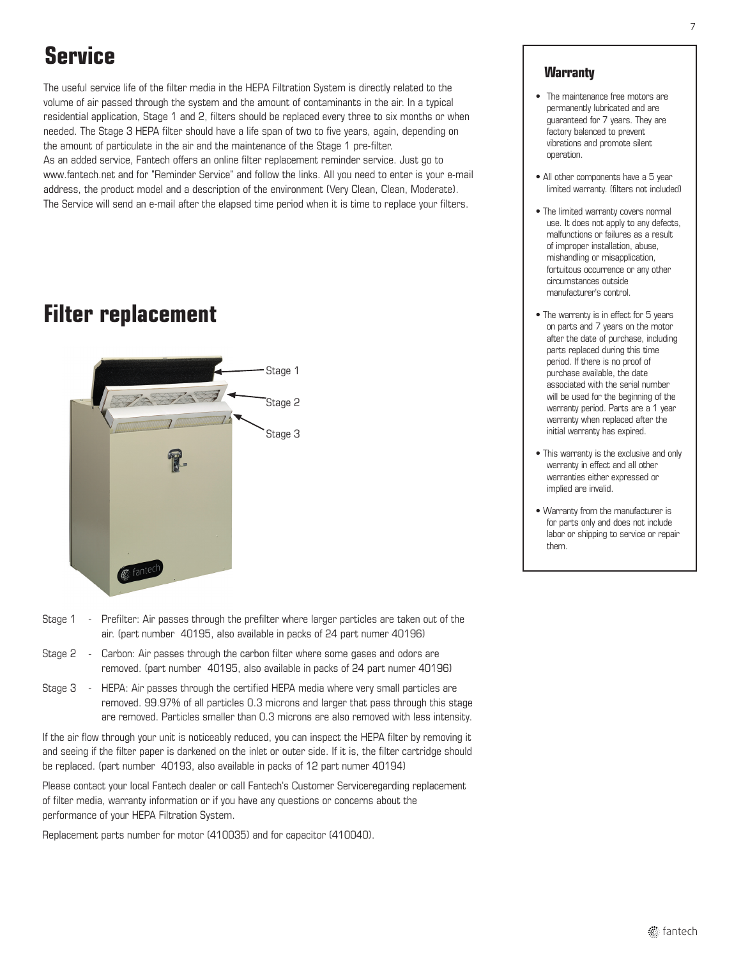# **Service**

The useful service life of the filter media in the HEPA Filtration System is directly related to the volume of air passed through the system and the amount of contaminants in the air. In a typical residential application, Stage 1 and 2, filters should be replaced every three to six months or when needed. The Stage 3 HEPA filter should have a life span of two to five years, again, depending on the amount of particulate in the air and the maintenance of the Stage 1 pre-filter. As an added service, Fantech offers an online filter replacement reminder service. Just go to

www.fantech.net and for "Reminder Service" and follow the links. All you need to enter is your e-mail address, the product model and a description of the environment (Very Clean, Clean, Moderate). The Service will send an e-mail after the elapsed time period when it is time to replace your filters.

### **Filter replacement**



- Stage 1 Prefilter: Air passes through the prefilter where larger particles are taken out of the air. (part number 40195, also available in packs of 24 part numer 40196)
- Stage 2 Carbon: Air passes through the carbon filter where some gases and odors are removed. (part number 40195, also available in packs of 24 part numer 40196)
- Stage 3 HEPA: Air passes through the certified HEPA media where very small particles are removed. 99.97% of all particles 0.3 microns and larger that pass through this stage are removed. Particles smaller than 0.3 microns are also removed with less intensity.

If the air flow through your unit is noticeably reduced, you can inspect the HEPA filter by removing it and seeing if the filter paper is darkened on the inlet or outer side. If it is, the filter cartridge should be replaced. (part number 40193, also available in packs of 12 part numer 40194)

Please contact your local Fantech dealer or call Fantech's Customer Serviceregarding replacement of filter media, warranty information or if you have any questions or concerns about the performance of your HEPA Filtration System.

Replacement parts number for motor (410035) and for capacitor (410040).

#### **Warranty**

- The maintenance free motors are permanently lubricated and are guaranteed for 7 years. They are factory balanced to prevent vibrations and promote silent operation.
- All other components have a 5 year limited warranty. (filters not included)
- The limited warranty covers normal use. It does not apply to any defects, malfunctions or failures as a result of improper installation, abuse, mishandling or misapplication, fortuitous occurrence or any other circumstances outside manufacturer's control.
- The warranty is in effect for 5 years on parts and 7 years on the motor after the date of purchase, including parts replaced during this time period. If there is no proof of purchase available, the date associated with the serial number will be used for the beginning of the warranty period. Parts are a 1 year warranty when replaced after the initial warranty has expired.
- This warranty is the exclusive and only warranty in effect and all other warranties either expressed or implied are invalid.
- Warranty from the manufacturer is for parts only and does not include labor or shipping to service or repair them.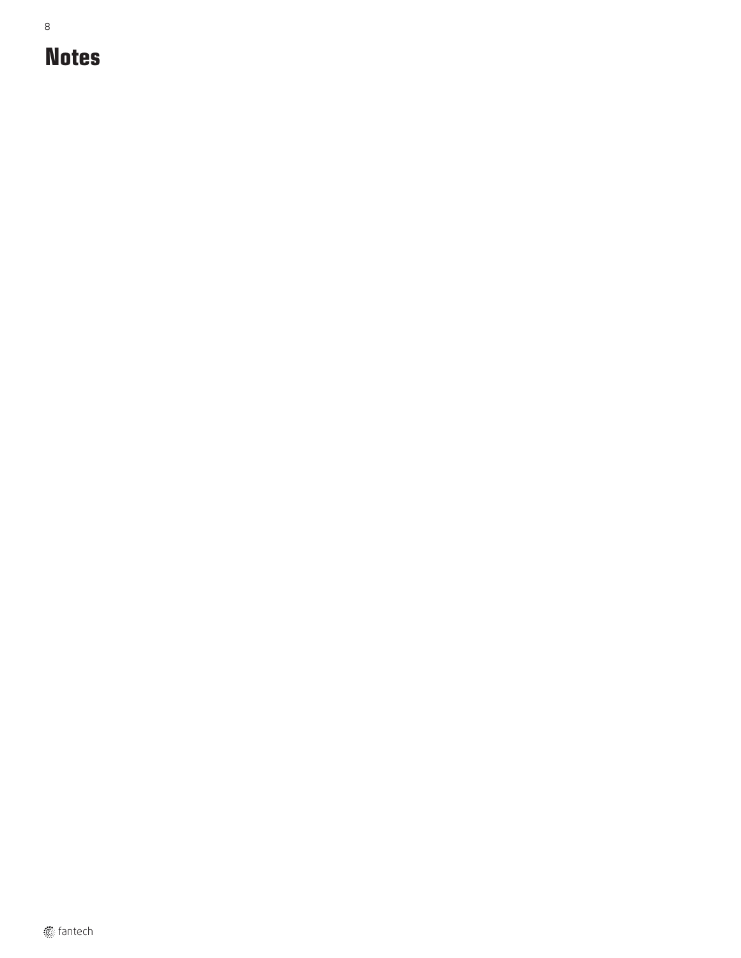8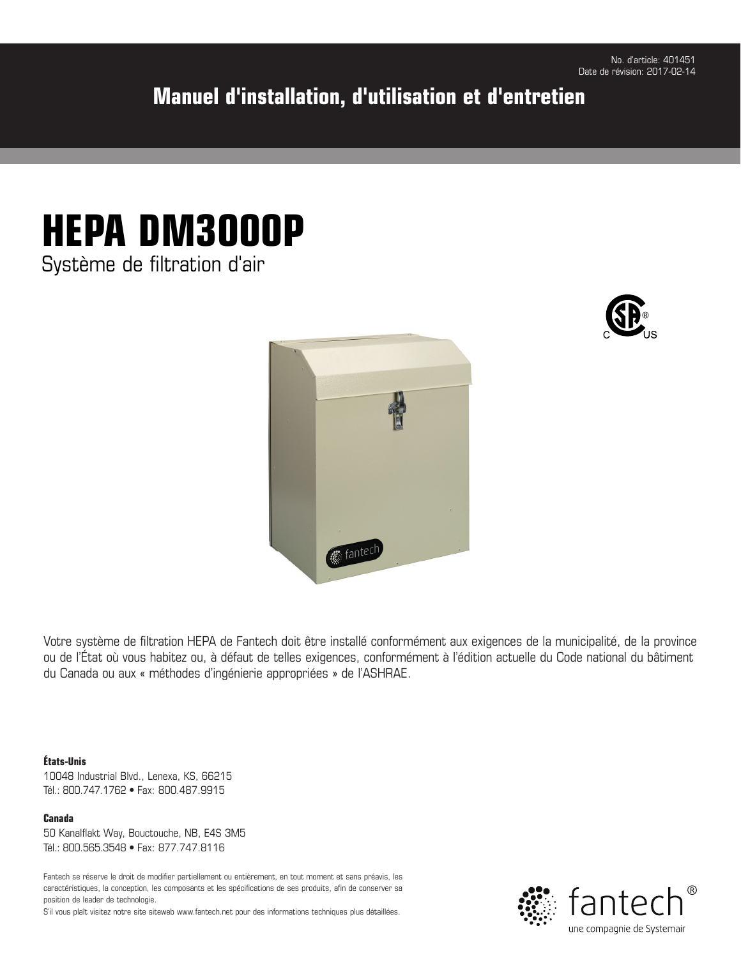### **Manuel d'installation, d'utilisation et d'entretien**

# **HEPA DM3000P**

Système de filtration d'air





Votre système de filtration HEPA de Fantech doit être installé conformément aux exigences de la municipalité, de la province ou de l'État où vous habitez ou, à défaut de telles exigences, conformément à l'édition actuelle du Code national du bâtiment du Canada ou aux « méthodes d'ingénierie appropriées » de l'ASHRAE.

#### **États-Unis**

10048 Industrial Blvd., Lenexa, KS, 66215 Tél.: 800.747.1762 • Fax: 800.487.9915

**Canada** 50 Kanalflakt Way, Bouctouche, NB, E4S 3M5

Tél.: 800.565.3548 • Fax: 877.747.8116

Fantech se réserve le droit de modifier partiellement ou entièrement, en tout moment et sans préavis, les caractéristiques, la conception, les composants et les spécifications de ses produits, afin de conserver sa position de leader de technologie.

S'il vous plaît visitez notre site siteweb www.fantech.net pour des informations techniques plus détaillées.

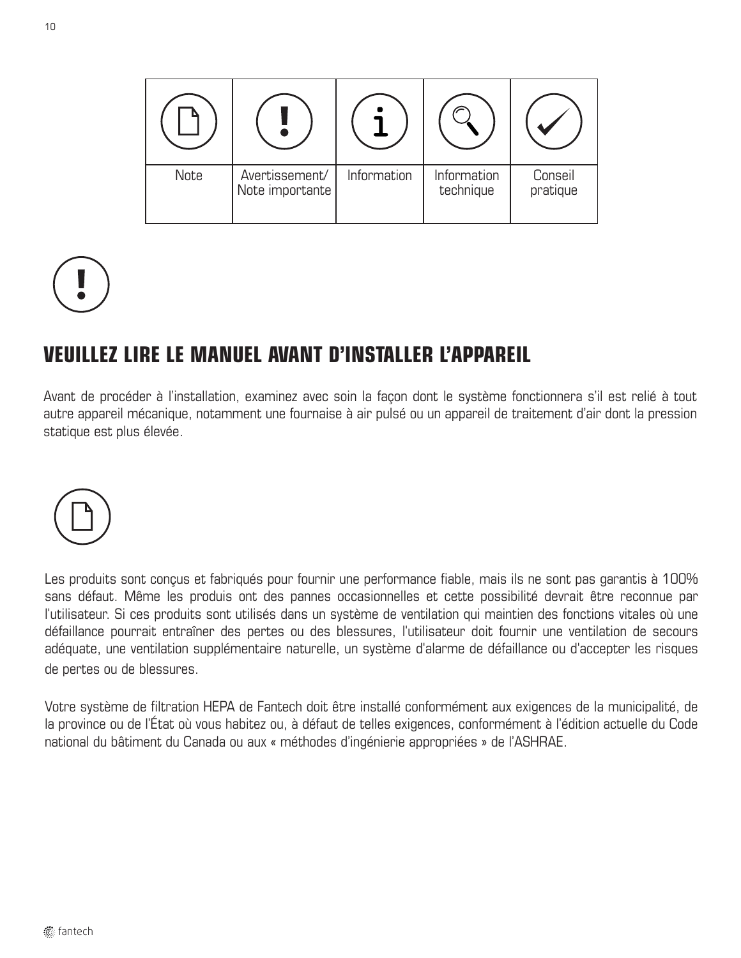| Note | Avertissement/<br>Note importante | Information | Information<br>technique | Conseil<br>pratique |
|------|-----------------------------------|-------------|--------------------------|---------------------|



### **VEUILLEZ LIRE LE MANUEL AVANT D'INSTALLER L'APPAREIL**

Avant de procéder à l'installation, examinez avec soin la façon dont le système fonctionnera s'il est relié à tout autre appareil mécanique, notamment une fournaise à air pulsé ou un appareil de traitement d'air dont la pression statique est plus élevée.



Les produits sont conçus et fabriqués pour fournir une performance fiable, mais ils ne sont pas garantis à 100% sans défaut. Même les produis ont des pannes occasionnelles et cette possibilité devrait être reconnue par l'utilisateur. Si ces produits sont utilisés dans un système de ventilation qui maintien des fonctions vitales où une défaillance pourrait entraîner des pertes ou des blessures, l'utilisateur doit fournir une ventilation de secours adéquate, une ventilation supplémentaire naturelle, un système d'alarme de défaillance ou d'accepter les risques de pertes ou de blessures.

Votre système de filtration HEPA de Fantech doit être installé conformément aux exigences de la municipalité, de la province ou de l'État où vous habitez ou, à défaut de telles exigences, conformément à l'édition actuelle du Code national du bâtiment du Canada ou aux « méthodes d'ingénierie appropriées » de l'ASHRAE.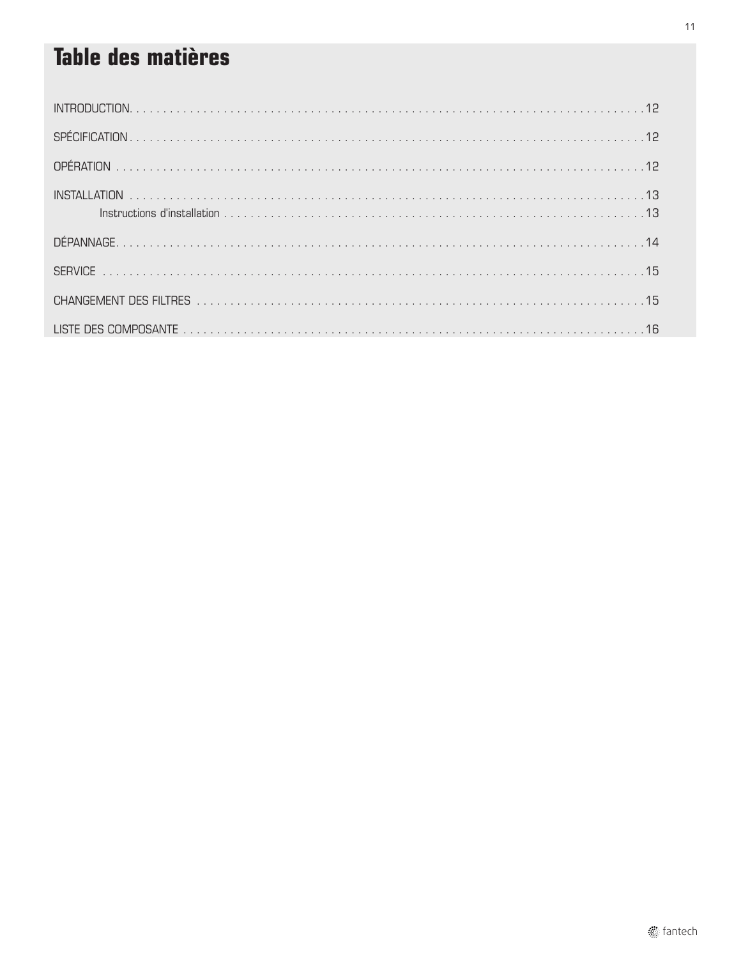# **Table des matières**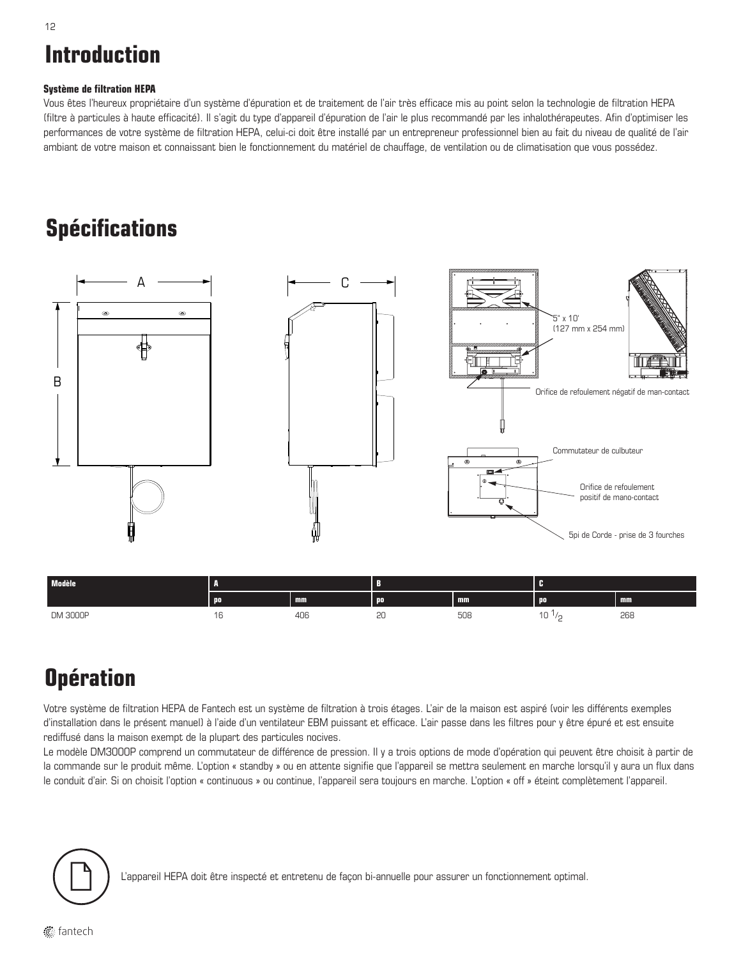# **Introduction**

#### **Système de filtration HEPA**

Vous êtes l'heureux propriétaire d'un système d'épuration et de traitement de l'air très efficace mis au point selon la technologie de filtration HEPA (filtre à particules à haute efficacité). Il s'agit du type d'appareil d'épuration de l'air le plus recommandé par les inhalothérapeutes. Afin d'optimiser les performances de votre système de filtration HEPA, celui-ci doit être installé par un entrepreneur professionnel bien au fait du niveau de qualité de l'air ambiant de votre maison et connaissant bien le fonctionnement du matériel de chauffage, de ventilation ou de climatisation que vous possédez.

### **Spécifications**



# **Opération**

Votre système de filtration HEPA de Fantech est un système de filtration à trois étages. L'air de la maison est aspiré (voir les différents exemples d'installation dans le présent manuel) à l'aide d'un ventilateur EBM puissant et efficace. L'air passe dans les filtres pour y être épuré et est ensuite rediffusé dans la maison exempt de la plupart des particules nocives.

 $10^{1/2}$  268

DM 3000P 16 406 20 508 10 1/

Le modèle DM3000P comprend un commutateur de différence de pression. Il y a trois options de mode d'opération qui peuvent être choisit à partir de la commande sur le produit même. L'option « standby » ou en attente signifie que l'appareil se mettra seulement en marche lorsqu'il y aura un flux dans le conduit d'air. Si on choisit l'option « continuous » ou continue, l'appareil sera toujours en marche. L'option « off » éteint complètement l'appareil.



L'appareil HEPA doit être inspecté et entretenu de façon bi-annuelle pour assurer un fonctionnement optimal.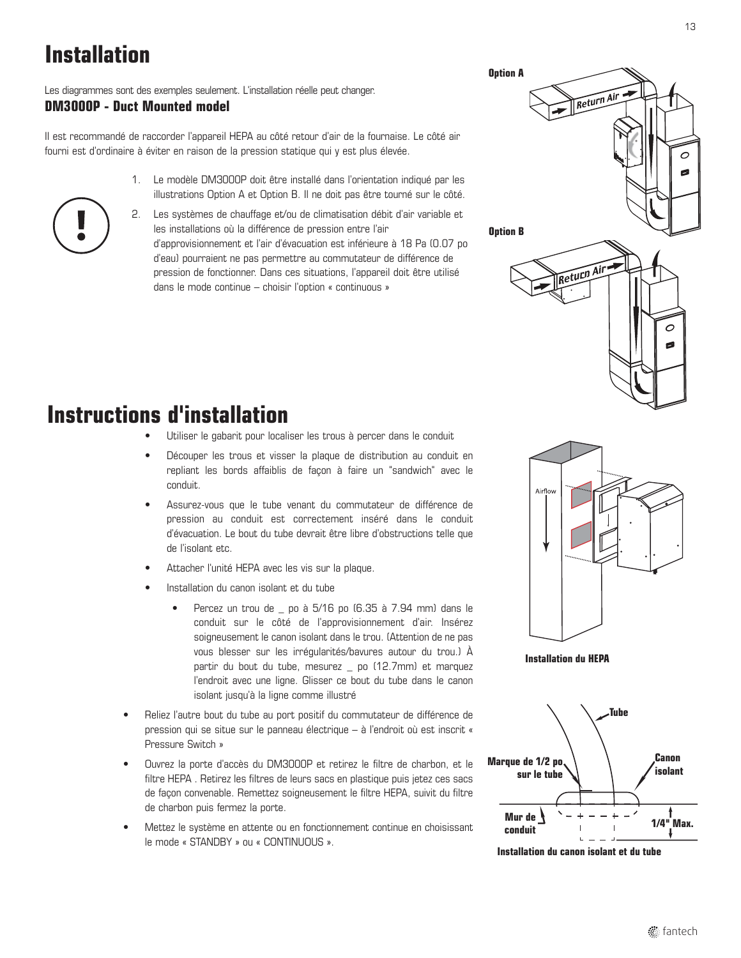# **Installation**

Les diagrammes sont des exemples seulement. L'installation réelle peut changer. **DM3000P - Duct Mounted model**

Il est recommandé de raccorder l'appareil HEPA au côté retour d'air de la fournaise. Le côté air fourni est d'ordinaire à éviter en raison de la pression statique qui y est plus élevée.

- 1. Le modèle DM3000P doit être installé dans l'orientation indiqué par les illustrations Option A et Option B. Il ne doit pas être tourné sur le côté.
- 2. Les systèmes de chauffage et/ou de climatisation débit d'air variable et les installations où la différence de pression entre l'air d'approvisionnement et l'air d'évacuation est inférieure à 18 Pa (0.07 po d'eau) pourraient ne pas permettre au commutateur de différence de pression de fonctionner. Dans ces situations, l'appareil doit être utilisé dans le mode continue – choisir l'option « continuous »

# **Option A** Return Air  $\overline{O}$ **Option B**Return Air  $\circ$

### **Instructions d'installation**

- Utiliser le gabarit pour localiser les trous à percer dans le conduit
- Découper les trous et visser la plaque de distribution au conduit en repliant les bords affaiblis de façon à faire un "sandwich" avec le conduit.
- Assurez-vous que le tube venant du commutateur de différence de pression au conduit est correctement inséré dans le conduit d'évacuation. Le bout du tube devrait être libre d'obstructions telle que de l'isolant etc.
- Attacher l'unité HEPA avec les vis sur la plaque.
- Installation du canon isolant et du tube
	- Percez un trou de \_ po à 5/16 po (6.35 à 7.94 mm) dans le conduit sur le côté de l'approvisionnement d'air. Insérez soigneusement le canon isolant dans le trou. (Attention de ne pas vous blesser sur les irrégularités/bavures autour du trou.) À partir du bout du tube, mesurez \_ po (12.7mm) et marquez l'endroit avec une ligne. Glisser ce bout du tube dans le canon isolant jusqu'à la ligne comme illustré
- Reliez l'autre bout du tube au port positif du commutateur de différence de pression qui se situe sur le panneau électrique – à l'endroit où est inscrit « Pressure Switch »
- Ouvrez la porte d'accès du DM3000P et retirez le filtre de charbon, et le filtre HEPA . Retirez les filtres de leurs sacs en plastique puis jetez ces sacs de façon convenable. Remettez soigneusement le filtre HEPA, suivit du filtre de charbon puis fermez la porte.
- Mettez le système en attente ou en fonctionnement continue en choisissant le mode « STANDBY » ou « CONTINUOUS ».



**Installation du HEPA**



**Installation du canon isolant et du tube**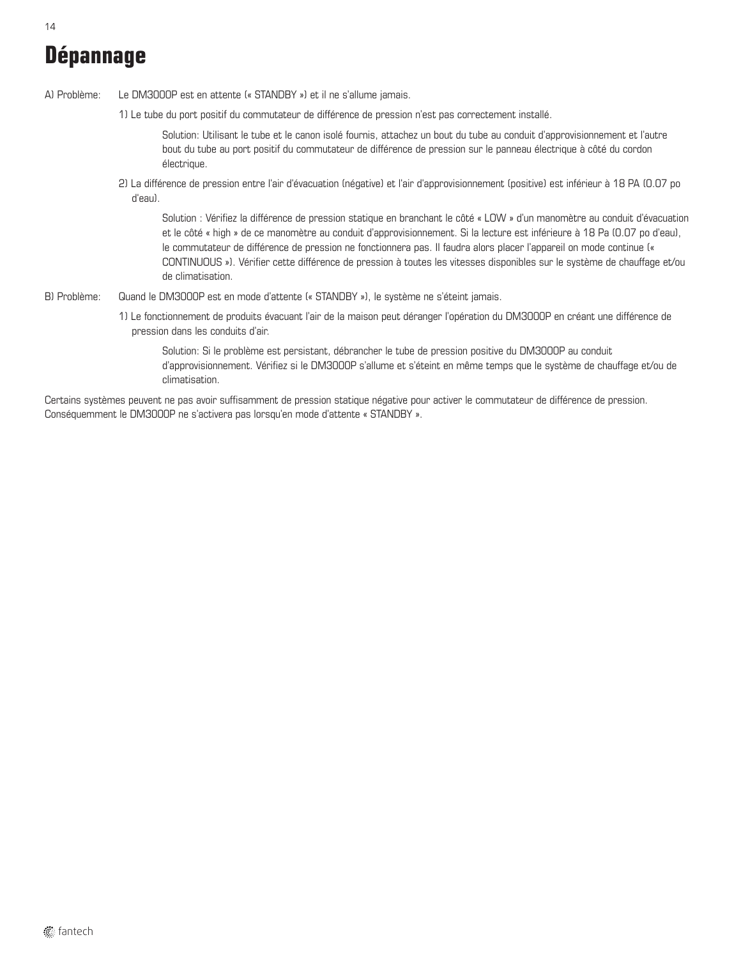# **Dépannage**

A) Problème: Le DM3000P est en attente (« STANDBY ») et il ne s'allume jamais.

1) Le tube du port positif du commutateur de différence de pression n'est pas correctement installé.

Solution: Utilisant le tube et le canon isolé fournis, attachez un bout du tube au conduit d'approvisionnement et l'autre bout du tube au port positif du commutateur de différence de pression sur le panneau électrique à côté du cordon électrique.

2) La différence de pression entre l'air d'évacuation (négative) et l'air d'approvisionnement (positive) est inférieur à 18 PA (0.07 po d'eau).

Solution : Vérifiez la différence de pression statique en branchant le côté « LOW » d'un manomètre au conduit d'évacuation et le côté « high » de ce manomètre au conduit d'approvisionnement. Si la lecture est inférieure à 18 Pa (0.07 po d'eau), le commutateur de différence de pression ne fonctionnera pas. Il faudra alors placer l'appareil on mode continue (« CONTINUOUS »). Vérifier cette différence de pression à toutes les vitesses disponibles sur le système de chauffage et/ou de climatisation.

- B) Problème: Quand le DM3000P est en mode d'attente (« STANDBY »), le système ne s'éteint jamais.
	- 1) Le fonctionnement de produits évacuant l'air de la maison peut déranger l'opération du DM3000P en créant une différence de pression dans les conduits d'air.

Solution: Si le problème est persistant, débrancher le tube de pression positive du DM3000P au conduit d'approvisionnement. Vérifiez si le DM3000P s'allume et s'éteint en même temps que le système de chauffage et/ou de climatisation.

Certains systèmes peuvent ne pas avoir suffisamment de pression statique négative pour activer le commutateur de différence de pression. Conséquemment le DM3000P ne s'activera pas lorsqu'en mode d'attente « STANDBY ».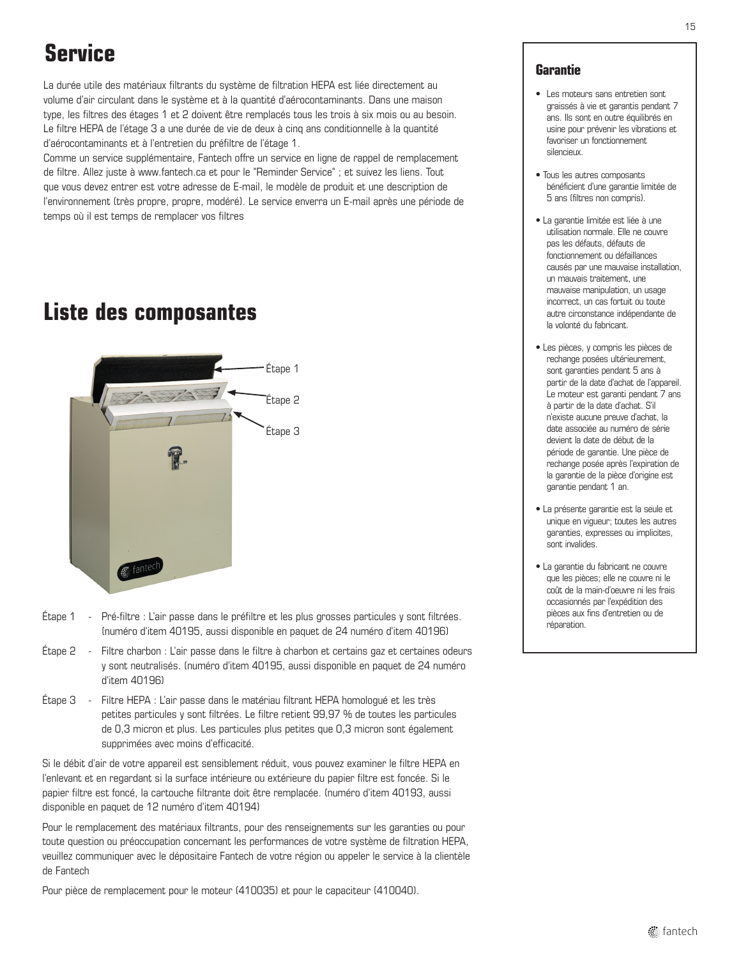### **Service**

La durée utile des matériaux filtrants du système de filtration HEPA est liée directement au volume d'air circulant dans le système et à la quantité d'aérocontaminants. Dans une maison type, les filtres des étages 1 et 2 doivent être remplacés tous les trois à six mois ou au besoin. Le filtre HEPA de l'étage 3 a une durée de vie de deux à cinq ans conditionnelle à la quantité d'aérocontaminants et à l'entretien du préfiltre de l'étage 1.

Comme un service supplémentaire, Fantech offre un service en ligne de rappel de remplacement de filtre. Allez juste à www.fantech.ca et pour le "Reminder Service" ; et suivez les liens. Tout que vous devez entrer est votre adresse de E-mail, le modèle de produit et une description de l'environnement (très propre, propre, modéré). Le service enverra un E-mail après une période de temps où il est temps de remplacer vos filtres

### **Liste des composantes**



- Étape 1 Pré-filtre : L'air passe dans le préfiltre et les plus grosses particules y sont filtrées. (numéro d'item 40195, aussi disponible en paquet de 24 numéro d'item 40196)
- Étape 2 Filtre charbon : L'air passe dans le filtre à charbon et certains gaz et certaines odeurs y sont neutralisés. (numéro d'item 40195, aussi disponible en paquet de 24 numéro d'item 40196)
- Étape 3 Filtre HEPA : L'air passe dans le matériau filtrant HEPA homologué et les très petites particules y sont filtrées. Le filtre retient 99,97 % de toutes les particules de 0,3 micron et plus. Les particules plus petites que 0,3 micron sont également supprimées avec moins d'efficacité.

Si le débit d'air de votre appareil est sensiblement réduit, vous pouvez examiner le filtre HEPA en l'enlevant et en regardant si la surface intérieure ou extérieure du papier filtre est foncée. Si le papier filtre est foncé, la cartouche filtrante doit être remplacée. (numéro d'item 40193, aussi disponible en paquet de 12 numéro d'item 40194)

Pour le remplacement des matériaux filtrants, pour des renseignements sur les garanties ou pour toute question ou préoccupation concernant les performances de votre système de filtration HEPA, veuillez communiquer avec le dépositaire Fantech de votre région ou appeler le service à la clientèle de Fantech

Pour pièce de remplacement pour le moteur (410035) et pour le capaciteur (410040).

#### **Garantie**

- Les moteurs sans entretien sont graissés à vie et garantis pendant 7 ans. Ils sont en outre équilibrés en usine pour prévenir les vibrations et favoriser un fonctionnement silencieux.
- Tous les autres composants bénéficient d'une garantie limitée de 5 ans (filtres non compris).
- La garantie limitée est liée à une utilisation normale. Elle ne couvre pas les défauts, défauts de fonctionnement ou défaillances causés par une mauvaise installation, un mauvais traitement, une mauvaise manipulation, un usage incorrect, un cas fortuit ou toute autre circonstance indépendante de la volonté du fabricant.
- Les pièces, y compris les pièces de rechange posées ultérieurement, sont garanties pendant 5 ans à partir de la date d'achat de l'appareil. Le moteur est garanti pendant 7 ans à partir de la date d'achat. S'il n'existe aucune preuve d'achat, la date associée au numéro de série devient la date de début de la période de garantie. Une pièce de rechange posée après l'expiration de la garantie de la pièce d'origine est garantie pendant 1 an.
- La présente garantie est la seule et unique en vigueur; toutes les autres garanties, expresses ou implicites, sont invalides.
- La garantie du fabricant ne couvre que les pièces; elle ne couvre ni le coût de la main-d'oeuvre ni les frais occasionnés par l'expédition des pièces aux fins d'entretien ou de réparation.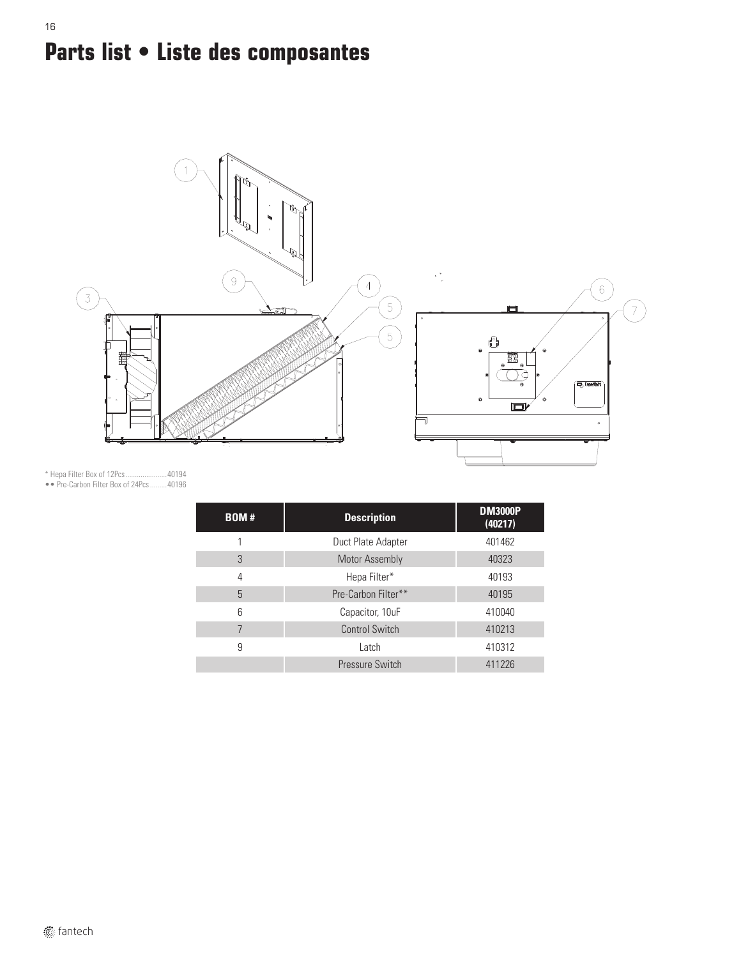# **Parts list • Liste des composantes**



\* Hepa Filter Box of 12Pcs......................40194

16

•• Pre-Carbon Filter Box of 24Pcs.........40196

| <b>BOM#</b> | <b>Description</b>    | <b>DM3000P</b><br>(40217) |
|-------------|-----------------------|---------------------------|
|             | Duct Plate Adapter    | 401462                    |
| 3           | <b>Motor Assembly</b> | 40323                     |
| 4           | Hepa Filter*          | 40193                     |
| 5           | Pre-Carbon Filter**   | 40195                     |
| 6           | Capacitor, 10uF       | 410040                    |
| 7           | Control Switch        | 410213                    |
| 9           | Latch                 | 410312                    |
|             | Pressure Switch       | 411226                    |

**fantech**